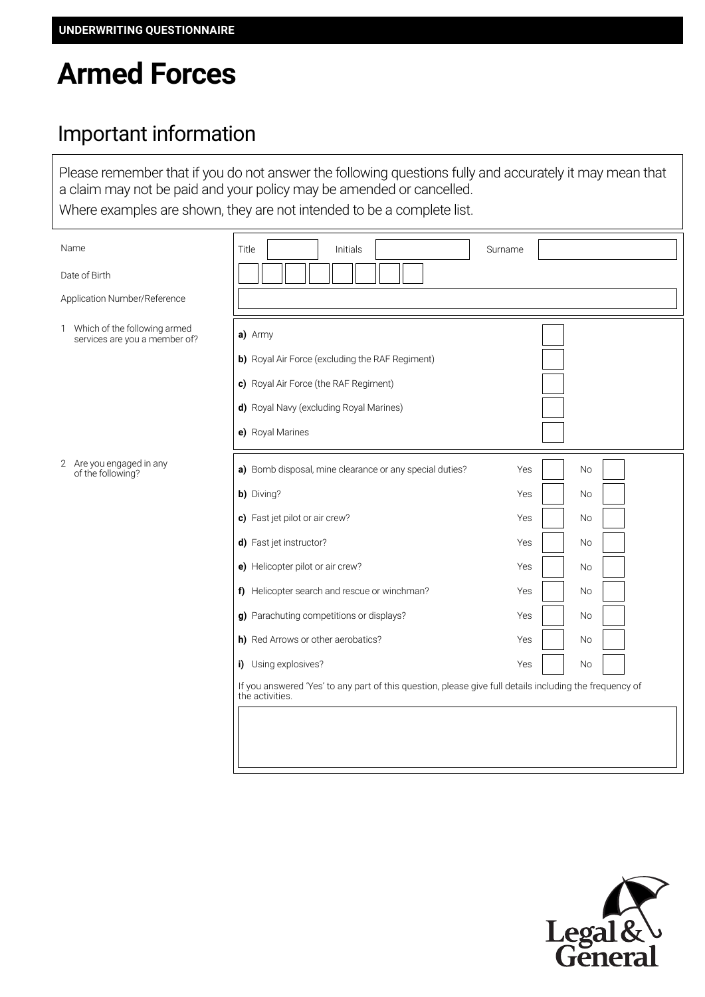# **Armed Forces**

### Important information

Please remember that if you do not answer the following questions fully and accurately it may mean that a claim may not be paid and your policy may be amended or cancelled. Where examples are shown, they are not intended to be a complete list.

| Name                                                            | Title<br>Initials                                                                                                                                                                                                                                                                                                                                                                                                                                              | Surname                                                                                                                                                            |
|-----------------------------------------------------------------|----------------------------------------------------------------------------------------------------------------------------------------------------------------------------------------------------------------------------------------------------------------------------------------------------------------------------------------------------------------------------------------------------------------------------------------------------------------|--------------------------------------------------------------------------------------------------------------------------------------------------------------------|
| Date of Birth                                                   |                                                                                                                                                                                                                                                                                                                                                                                                                                                                |                                                                                                                                                                    |
| Application Number/Reference                                    |                                                                                                                                                                                                                                                                                                                                                                                                                                                                |                                                                                                                                                                    |
| 1 Which of the following armed<br>services are you a member of? | a) Army<br>b) Royal Air Force (excluding the RAF Regiment)<br>c) Royal Air Force (the RAF Regiment)<br>d) Royal Navy (excluding Royal Marines)<br>e) Royal Marines                                                                                                                                                                                                                                                                                             |                                                                                                                                                                    |
| 2 Are you engaged in any<br>of the following?                   | a) Bomb disposal, mine clearance or any special duties?<br>b) Diving?<br>c) Fast jet pilot or air crew?<br>d) Fast jet instructor?<br>e) Helicopter pilot or air crew?<br>f) Helicopter search and rescue or winchman?<br>g) Parachuting competitions or displays?<br>h) Red Arrows or other aerobatics?<br>i) Using explosives?<br>If you answered 'Yes' to any part of this question, please give full details including the frequency of<br>the activities. | <b>No</b><br>Yes<br>Yes<br><b>No</b><br>Yes<br><b>No</b><br>Yes<br><b>No</b><br>Yes<br>No<br>Yes<br><b>No</b><br>Yes<br><b>No</b><br>Yes<br><b>No</b><br>Yes<br>No |